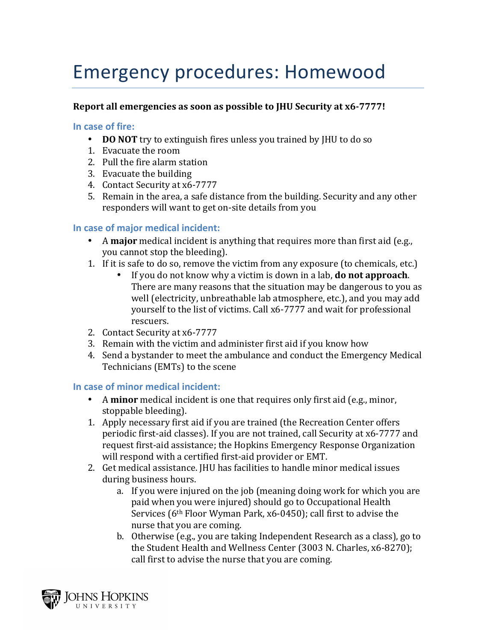# Emergency procedures: Homewood

### **Report all emergencies as soon as possible to IHU Security at x6-7777!**

#### In case of fire:

- **DO NOT** try to extinguish fires unless you trained by JHU to do so
- 1. Evacuate the room
- 2. Pull the fire alarm station
- 3. Evacuate the building
- 4. Contact Security at x6-7777
- 5. Remain in the area, a safe distance from the building. Security and any other responders will want to get on-site details from you

## **In case of major medical incident:**

- A major medical incident is anything that requires more than first aid (e.g., you cannot stop the bleeding).
- 1. If it is safe to do so, remove the victim from any exposure (to chemicals, etc.)
	- If you do not know why a victim is down in a lab, **do not approach**. There are many reasons that the situation may be dangerous to you as well (electricity, unbreathable lab atmosphere, etc.), and you may add yourself to the list of victims. Call x6-7777 and wait for professional rescuers.
- 2. Contact Security at x6-7777
- 3. Remain with the victim and administer first aid if you know how
- 4. Send a bystander to meet the ambulance and conduct the Emergency Medical Technicians (EMTs) to the scene

#### **In case of minor medical incident:**

- A **minor** medical incident is one that requires only first aid (e.g., minor, stoppable bleeding).
- 1. Apply necessary first aid if you are trained (the Recreation Center offers periodic first-aid classes). If you are not trained, call Security at x6-7777 and request first-aid assistance; the Hopkins Emergency Response Organization will respond with a certified first-aid provider or EMT.
- 2. Get medical assistance. [HU has facilities to handle minor medical issues during business hours.
	- a. If you were injured on the job (meaning doing work for which you are paid when you were injured) should go to Occupational Health Services  $(6<sup>th</sup>$  Floor Wyman Park, x6-0450); call first to advise the nurse that you are coming.
	- b. Otherwise (e.g., you are taking Independent Research as a class), go to the Student Health and Wellness Center (3003 N. Charles, x6-8270); call first to advise the nurse that you are coming.